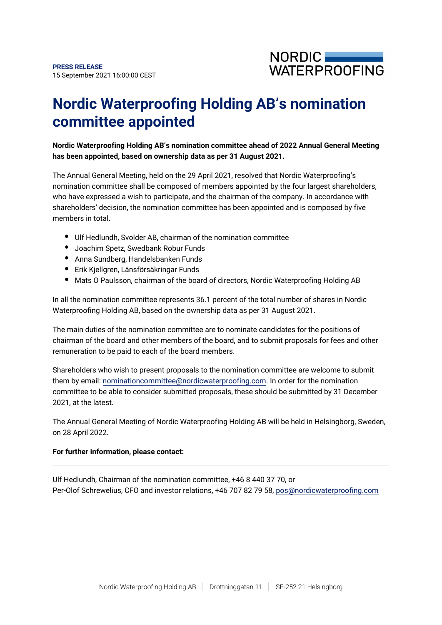

# **Nordic Waterproofing Holding AB's nomination committee appointed**

## **Nordic Waterproofing Holding AB's nomination committee ahead of 2022 Annual General Meeting has been appointed, based on ownership data as per 31 August 2021.**

The Annual General Meeting, held on the 29 April 2021, resolved that Nordic Waterproofing's nomination committee shall be composed of members appointed by the four largest shareholders, who have expressed a wish to participate, and the chairman of the company. In accordance with shareholders' decision, the nomination committee has been appointed and is composed by five members in total.

- Ulf Hedlundh, Svolder AB, chairman of the nomination committee
- Joachim Spetz, Swedbank Robur Funds
- Anna Sundberg, Handelsbanken Funds
- Erik Kjellgren, Länsförsäkringar Funds
- Mats O Paulsson, chairman of the board of directors, Nordic Waterproofing Holding AB

In all the nomination committee represents 36.1 percent of the total number of shares in Nordic Waterproofing Holding AB, based on the ownership data as per 31 August 2021.

The main duties of the nomination committee are to nominate candidates for the positions of chairman of the board and other members of the board, and to submit proposals for fees and other remuneration to be paid to each of the board members.

Shareholders who wish to present proposals to the nomination committee are welcome to submit them by email: nominationcommittee@nordicwaterproofing.com. In order for the nomination committee to be able to consider submitted proposals, these should be submitted by 31 December 2021, at the latest.

The Annual General Meeting of Nordic Waterproofing Holding AB will be held in Helsingborg, Sweden, on 28 April 2022.

### **For further information, please contact:**

Ulf Hedlundh, Chairman of the nomination committee, +46 8 440 37 70, or Per-Olof Schrewelius, CFO and investor relations, +46 707 82 79 58, pos@nordicwaterproofing.com